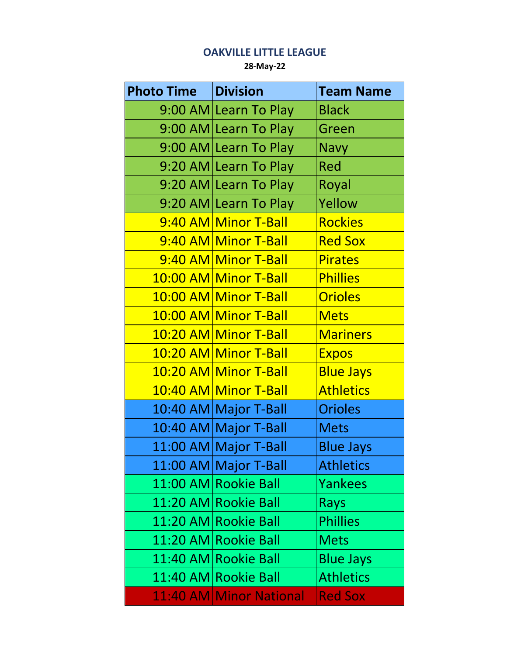## **OAKVILLE LITTLE LEAGUE**

**28-May-22**

| <b>Photo Time</b> | <b>Division</b>         | <b>Team Name</b> |
|-------------------|-------------------------|------------------|
|                   | 9:00 AM Learn To Play   | <b>Black</b>     |
|                   | 9:00 AM Learn To Play   | Green            |
|                   | 9:00 AM Learn To Play   | <b>Navy</b>      |
|                   | 9:20 AM Learn To Play   | <b>Red</b>       |
|                   | 9:20 AM Learn To Play   | Royal            |
|                   | 9:20 AM Learn To Play   | Yellow           |
|                   | 9:40 AM Minor T-Ball    | <b>Rockies</b>   |
|                   | 9:40 AM Minor T-Ball    | <b>Red Sox</b>   |
|                   | 9:40 AM Minor T-Ball    | <b>Pirates</b>   |
|                   | 10:00 AM Minor T-Ball   | <b>Phillies</b>  |
|                   | 10:00 AM Minor T-Ball   | <b>Orioles</b>   |
|                   | 10:00 AM Minor T-Ball   | <b>Mets</b>      |
|                   | 10:20 AM Minor T-Ball   | <b>Mariners</b>  |
|                   | 10:20 AM Minor T-Ball   | <b>Expos</b>     |
|                   | 10:20 AM Minor T-Ball   | <b>Blue Jays</b> |
|                   | 10:40 AM Minor T-Ball   | <b>Athletics</b> |
|                   | 10:40 AM Major T-Ball   | <b>Orioles</b>   |
|                   | 10:40 AM Major T-Ball   | <b>Mets</b>      |
|                   | 11:00 AM Major T-Ball   | <b>Blue Jays</b> |
|                   | 11:00 AM Major T-Ball   | <b>Athletics</b> |
|                   | 11:00 AM Rookie Ball    | <b>Yankees</b>   |
|                   | 11:20 AM Rookie Ball    | <b>Rays</b>      |
|                   | 11:20 AM Rookie Ball    | <b>Phillies</b>  |
|                   | 11:20 AM Rookie Ball    | <b>Mets</b>      |
|                   | 11:40 AM Rookie Ball    | <b>Blue Jays</b> |
|                   | 11:40 AM Rookie Ball    | <b>Athletics</b> |
|                   | 11:40 AM Minor National | <b>Red Sox</b>   |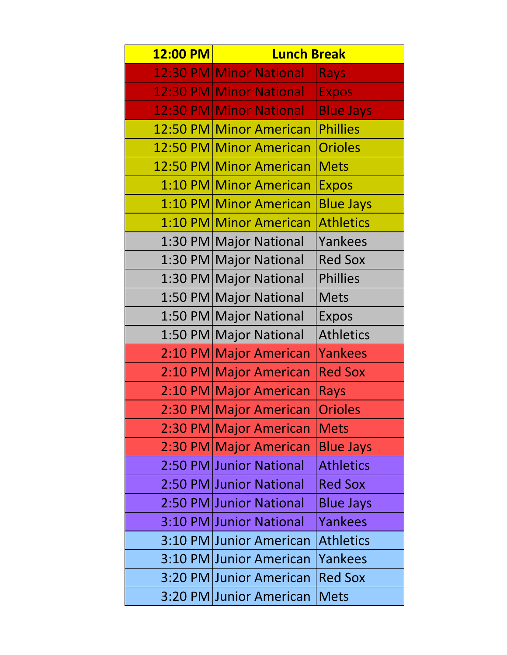| 12:00 PM | <b>Lunch Break</b>      |                  |
|----------|-------------------------|------------------|
|          | 12:30 PM Minor National | <b>Rays</b>      |
|          | 12:30 PM Minor National | <b>Expos</b>     |
|          | 12:30 PM Minor National | <b>Blue Jays</b> |
| 12:50 PM | <b>Minor American</b>   | <b>Phillies</b>  |
| 12:50 PM | <b>Minor American</b>   | <b>Orioles</b>   |
|          | 12:50 PM Minor American | <b>Mets</b>      |
|          | 1:10 PM Minor American  | <b>Expos</b>     |
|          | 1:10 PM Minor American  | <b>Blue Jays</b> |
|          | 1:10 PM Minor American  | <b>Athletics</b> |
|          | 1:30 PM Major National  | Yankees          |
|          | 1:30 PM Major National  | <b>Red Sox</b>   |
|          | 1:30 PM Major National  | <b>Phillies</b>  |
|          | 1:50 PM Major National  | <b>Mets</b>      |
|          | 1:50 PM Major National  | <b>Expos</b>     |
|          | 1:50 PM Major National  | <b>Athletics</b> |
|          | 2:10 PM Major American  | <b>Yankees</b>   |
|          | 2:10 PM Major American  | <b>Red Sox</b>   |
|          | 2:10 PM Major American  | Rays             |
|          | 2:30 PM Major American  | <b>Orioles</b>   |
|          | 2:30 PM Major American  | <b>Mets</b>      |
|          | 2:30 PM Major American  | <b>Blue Jays</b> |
|          | 2:50 PM Junior National | <b>Athletics</b> |
|          | 2:50 PM Junior National | <b>Red Sox</b>   |
|          | 2:50 PM Junior National | <b>Blue Jays</b> |
|          | 3:10 PM Junior National | Yankees          |
|          | 3:10 PM Junior American | <b>Athletics</b> |
|          | 3:10 PM Junior American | <b>Yankees</b>   |
|          | 3:20 PM Junior American | <b>Red Sox</b>   |
|          | 3:20 PM Junior American | <b>Mets</b>      |